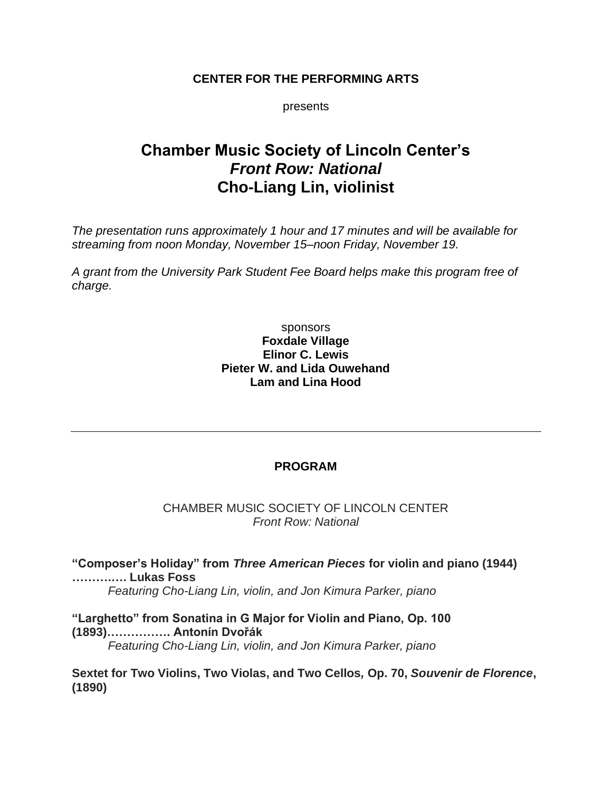# **CENTER FOR THE PERFORMING ARTS**

presents

# **Chamber Music Society of Lincoln Center's** *Front Row: National* **Cho-Liang Lin, violinist**

*The presentation runs approximately 1 hour and 17 minutes and will be available for streaming from noon Monday, November 15–noon Friday, November 19.*

*A grant from the University Park Student Fee Board helps make this program free of charge.*

# sponsors **Foxdale Village Elinor C. Lewis Pieter W. and Lida Ouwehand Lam and Lina Hood**

# **PROGRAM**

## CHAMBER MUSIC SOCIETY OF LINCOLN CENTER *Front Row: National*

**"Composer's Holiday" from** *Three American Pieces* **for violin and piano (1944) ……….…. Lukas Foss** *Featuring Cho-Liang Lin, violin, and Jon Kimura Parker, piano*

**"Larghetto" from Sonatina in G Major for Violin and Piano, Op. 100 (1893)……………. Antonín Dvořák**

*Featuring Cho-Liang Lin, violin, and Jon Kimura Parker, piano*

**Sextet for Two Violins, Two Violas, and Two Cellos***,* **Op. 70,** *Souvenir de Florence***, (1890)**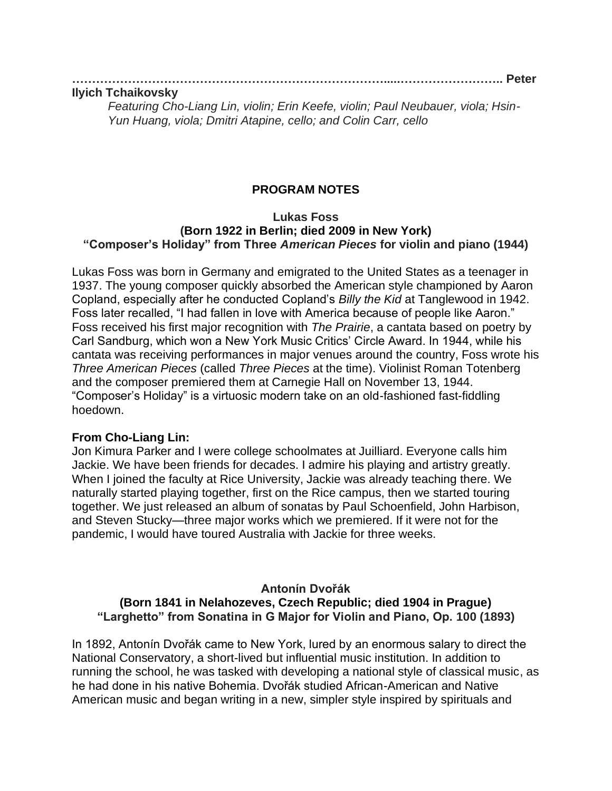#### **…………………………………………………………………….....…………………….. Peter Ilyich Tchaikovsky**

*Featuring Cho-Liang Lin, violin; Erin Keefe, violin; Paul Neubauer, viola; Hsin-Yun Huang, viola; Dmitri Atapine, cello; and Colin Carr, cello*

# **PROGRAM NOTES**

#### **Lukas Foss (Born 1922 in Berlin; died 2009 in New York) "Composer's Holiday" from Three** *American Pieces* **for violin and piano (1944)**

Lukas Foss was born in Germany and emigrated to the United States as a teenager in 1937. The young composer quickly absorbed the American style championed by Aaron Copland, especially after he conducted Copland's *Billy the Kid* at Tanglewood in 1942. Foss later recalled, "I had fallen in love with America because of people like Aaron." Foss received his first major recognition with *The Prairie*, a cantata based on poetry by Carl Sandburg, which won a New York Music Critics' Circle Award. In 1944, while his cantata was receiving performances in major venues around the country, Foss wrote his *Three American Pieces* (called *Three Pieces* at the time). Violinist Roman Totenberg and the composer premiered them at Carnegie Hall on November 13, 1944. "Composer's Holiday" is a virtuosic modern take on an old-fashioned fast-fiddling hoedown.

#### **From Cho-Liang Lin:**

Jon Kimura Parker and I were college schoolmates at Juilliard. Everyone calls him Jackie. We have been friends for decades. I admire his playing and artistry greatly. When I joined the faculty at Rice University, Jackie was already teaching there. We naturally started playing together, first on the Rice campus, then we started touring together. We just released an album of sonatas by Paul Schoenfield, John Harbison, and Steven Stucky—three major works which we premiered. If it were not for the pandemic, I would have toured Australia with Jackie for three weeks.

# **Antonín Dvořák (Born 1841 in Nelahozeves, Czech Republic; died 1904 in Prague) "Larghetto" from Sonatina in G Major for Violin and Piano, Op. 100 (1893)**

In 1892, Antonín Dvořák came to New York, lured by an enormous salary to direct the National Conservatory, a short-lived but influential music institution. In addition to running the school, he was tasked with developing a national style of classical music, as he had done in his native Bohemia. Dvořák studied African-American and Native American music and began writing in a new, simpler style inspired by spirituals and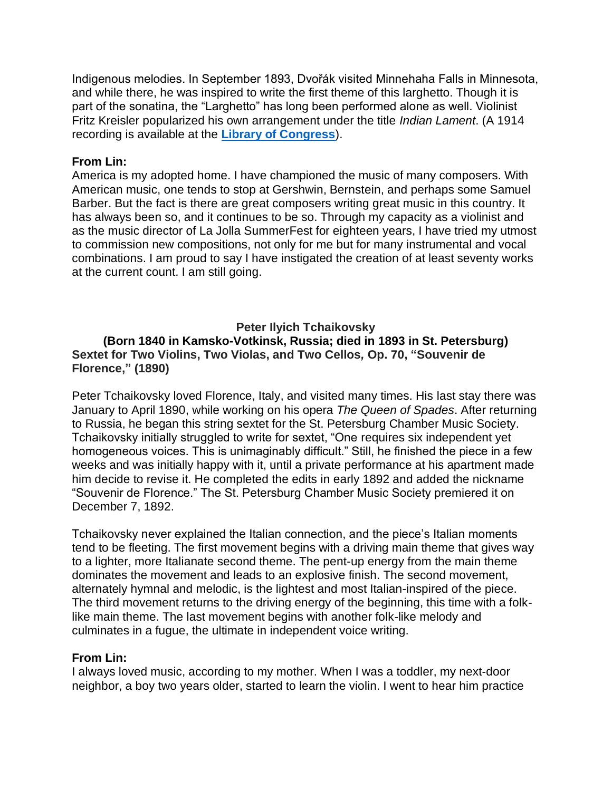Indigenous melodies. In September 1893, Dvořák visited Minnehaha Falls in Minnesota, and while there, he was inspired to write the first theme of this larghetto. Though it is part of the sonatina, the "Larghetto" has long been performed alone as well. Violinist Fritz Kreisler popularized his own arrangement under the title *Indian Lament*. (A 1914 recording is available at the **[Library of Congress](https://www.loc.gov/item/jukebox-268785/)**).

# **From Lin:**

America is my adopted home. I have championed the music of many composers. With American music, one tends to stop at Gershwin, Bernstein, and perhaps some Samuel Barber. But the fact is there are great composers writing great music in this country. It has always been so, and it continues to be so. Through my capacity as a violinist and as the music director of La Jolla SummerFest for eighteen years, I have tried my utmost to commission new compositions, not only for me but for many instrumental and vocal combinations. I am proud to say I have instigated the creation of at least seventy works at the current count. I am still going.

# **Peter Ilyich Tchaikovsky**

**(Born 1840 in Kamsko-Votkinsk, Russia; died in 1893 in St. Petersburg) Sextet for Two Violins, Two Violas, and Two Cellos***,* **Op. 70, "Souvenir de Florence," (1890)**

Peter Tchaikovsky loved Florence, Italy, and visited many times. His last stay there was January to April 1890, while working on his opera *The Queen of Spades*. After returning to Russia, he began this string sextet for the St. Petersburg Chamber Music Society. Tchaikovsky initially struggled to write for sextet, "One requires six independent yet homogeneous voices. This is unimaginably difficult." Still, he finished the piece in a few weeks and was initially happy with it, until a private performance at his apartment made him decide to revise it. He completed the edits in early 1892 and added the nickname "Souvenir de Florence." The St. Petersburg Chamber Music Society premiered it on December 7, 1892.

Tchaikovsky never explained the Italian connection, and the piece's Italian moments tend to be fleeting. The first movement begins with a driving main theme that gives way to a lighter, more Italianate second theme. The pent-up energy from the main theme dominates the movement and leads to an explosive finish. The second movement, alternately hymnal and melodic, is the lightest and most Italian-inspired of the piece. The third movement returns to the driving energy of the beginning, this time with a folklike main theme. The last movement begins with another folk-like melody and culminates in a fugue, the ultimate in independent voice writing.

#### **From Lin:**

I always loved music, according to my mother. When I was a toddler, my next-door neighbor, a boy two years older, started to learn the violin. I went to hear him practice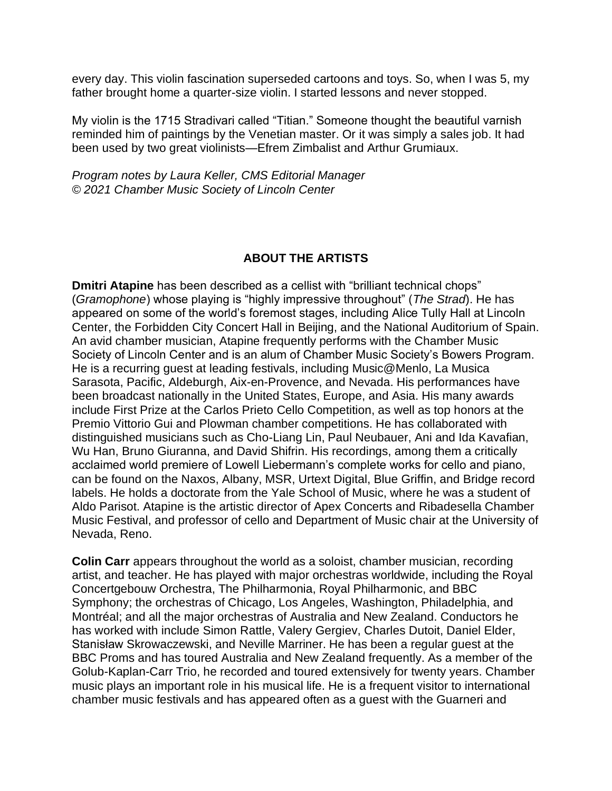every day. This violin fascination superseded cartoons and toys. So, when I was 5, my father brought home a quarter-size violin. I started lessons and never stopped.

My violin is the 1715 Stradivari called "Titian." Someone thought the beautiful varnish reminded him of paintings by the Venetian master. Or it was simply a sales job. It had been used by two great violinists—Efrem Zimbalist and Arthur Grumiaux.

*Program notes by Laura Keller, CMS Editorial Manager © 2021 Chamber Music Society of Lincoln Center*

# **ABOUT THE ARTISTS**

**Dmitri Atapine** has been described as a cellist with "brilliant technical chops" (*Gramophone*) whose playing is "highly impressive throughout" (*The Strad*). He has appeared on some of the world's foremost stages, including Alice Tully Hall at Lincoln Center, the Forbidden City Concert Hall in Beijing, and the National Auditorium of Spain. An avid chamber musician, Atapine frequently performs with the Chamber Music Society of Lincoln Center and is an alum of Chamber Music Society's Bowers Program. He is a recurring guest at leading festivals, including Music@Menlo, La Musica Sarasota, Pacific, Aldeburgh, Aix-en-Provence, and Nevada. His performances have been broadcast nationally in the United States, Europe, and Asia. His many awards include First Prize at the Carlos Prieto Cello Competition, as well as top honors at the Premio Vittorio Gui and Plowman chamber competitions. He has collaborated with distinguished musicians such as Cho-Liang Lin, Paul Neubauer, Ani and Ida Kavafian, Wu Han, Bruno Giuranna, and David Shifrin. His recordings, among them a critically acclaimed world premiere of Lowell Liebermann's complete works for cello and piano, can be found on the Naxos, Albany, MSR, Urtext Digital, Blue Griffin, and Bridge record labels. He holds a doctorate from the Yale School of Music, where he was a student of Aldo Parisot. Atapine is the artistic director of Apex Concerts and Ribadesella Chamber Music Festival, and professor of cello and Department of Music chair at the University of Nevada, Reno.

**Colin Carr** appears throughout the world as a soloist, chamber musician, recording artist, and teacher. He has played with major orchestras worldwide, including the Royal Concertgebouw Orchestra, The Philharmonia, Royal Philharmonic, and BBC Symphony; the orchestras of Chicago, Los Angeles, Washington, Philadelphia, and Montréal; and all the major orchestras of Australia and New Zealand. Conductors he has worked with include Simon Rattle, Valery Gergiev, Charles Dutoit, Daniel Elder, Stanisław Skrowaczewski, and Neville Marriner. He has been a regular guest at the BBC Proms and has toured Australia and New Zealand frequently. As a member of the Golub-Kaplan-Carr Trio, he recorded and toured extensively for twenty years. Chamber music plays an important role in his musical life. He is a frequent visitor to international chamber music festivals and has appeared often as a guest with the Guarneri and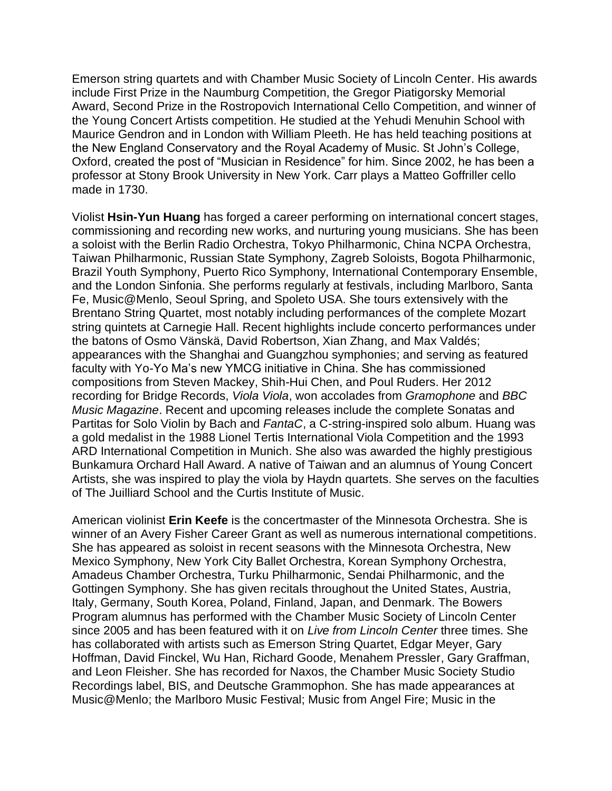Emerson string quartets and with Chamber Music Society of Lincoln Center. His awards include First Prize in the Naumburg Competition, the Gregor Piatigorsky Memorial Award, Second Prize in the Rostropovich International Cello Competition, and winner of the Young Concert Artists competition. He studied at the Yehudi Menuhin School with Maurice Gendron and in London with William Pleeth. He has held teaching positions at the New England Conservatory and the Royal Academy of Music. St John's College, Oxford, created the post of "Musician in Residence" for him. Since 2002, he has been a professor at Stony Brook University in New York. Carr plays a Matteo Goffriller cello made in 1730.

Violist **Hsin-Yun Huang** has forged a career performing on international concert stages, commissioning and recording new works, and nurturing young musicians. She has been a soloist with the Berlin Radio Orchestra, Tokyo Philharmonic, China NCPA Orchestra, Taiwan Philharmonic, Russian State Symphony, Zagreb Soloists, Bogota Philharmonic, Brazil Youth Symphony, Puerto Rico Symphony, International Contemporary Ensemble, and the London Sinfonia. She performs regularly at festivals, including Marlboro, Santa Fe, Music@Menlo, Seoul Spring, and Spoleto USA. She tours extensively with the Brentano String Quartet, most notably including performances of the complete Mozart string quintets at Carnegie Hall. Recent highlights include concerto performances under the batons of Osmo Vänskä, David Robertson, Xian Zhang, and Max Valdés; appearances with the Shanghai and Guangzhou symphonies; and serving as featured faculty with Yo-Yo Ma's new YMCG initiative in China. She has commissioned compositions from Steven Mackey, Shih-Hui Chen, and Poul Ruders. Her 2012 recording for Bridge Records, *Viola Viola*, won accolades from *Gramophone* and *BBC Music Magazine*. Recent and upcoming releases include the complete Sonatas and Partitas for Solo Violin by Bach and *FantaC*, a C-string-inspired solo album. Huang was a gold medalist in the 1988 Lionel Tertis International Viola Competition and the 1993 ARD International Competition in Munich. She also was awarded the highly prestigious Bunkamura Orchard Hall Award. A native of Taiwan and an alumnus of Young Concert Artists, she was inspired to play the viola by Haydn quartets. She serves on the faculties of The Juilliard School and the Curtis Institute of Music.

American violinist **Erin Keefe** is the concertmaster of the Minnesota Orchestra. She is winner of an Avery Fisher Career Grant as well as numerous international competitions. She has appeared as soloist in recent seasons with the Minnesota Orchestra, New Mexico Symphony, New York City Ballet Orchestra, Korean Symphony Orchestra, Amadeus Chamber Orchestra, Turku Philharmonic, Sendai Philharmonic, and the Gottingen Symphony. She has given recitals throughout the United States, Austria, Italy, Germany, South Korea, Poland, Finland, Japan, and Denmark. The Bowers Program alumnus has performed with the Chamber Music Society of Lincoln Center since 2005 and has been featured with it on *Live from Lincoln Center* three times. She has collaborated with artists such as Emerson String Quartet, Edgar Meyer, Gary Hoffman, David Finckel, Wu Han, Richard Goode, Menahem Pressler, Gary Graffman, and Leon Fleisher. She has recorded for Naxos, the Chamber Music Society Studio Recordings label, BIS, and Deutsche Grammophon. She has made appearances at Music@Menlo; the Marlboro Music Festival; Music from Angel Fire; Music in the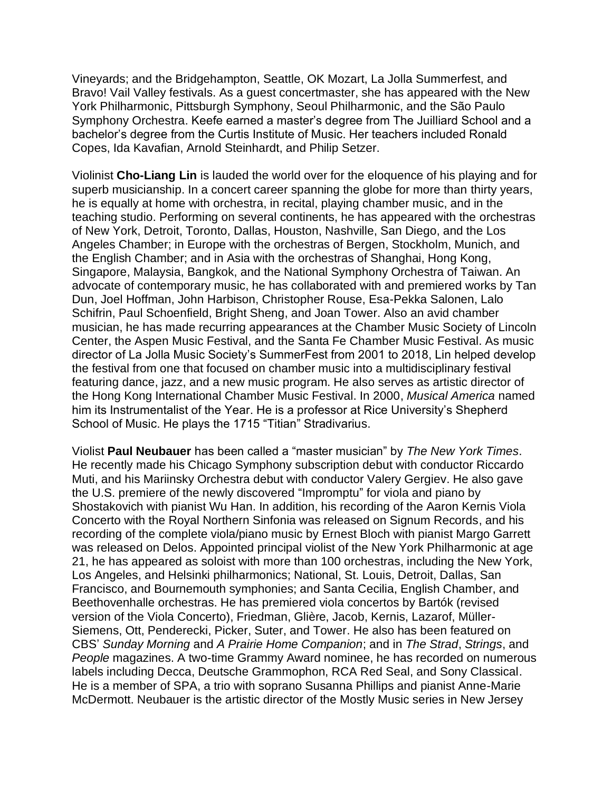Vineyards; and the Bridgehampton, Seattle, OK Mozart, La Jolla Summerfest, and Bravo! Vail Valley festivals. As a guest concertmaster, she has appeared with the New York Philharmonic, Pittsburgh Symphony, Seoul Philharmonic, and the São Paulo Symphony Orchestra. Keefe earned a master's degree from The Juilliard School and a bachelor's degree from the Curtis Institute of Music. Her teachers included Ronald Copes, Ida Kavafian, Arnold Steinhardt, and Philip Setzer.

Violinist **Cho-Liang Lin** is lauded the world over for the eloquence of his playing and for superb musicianship. In a concert career spanning the globe for more than thirty years, he is equally at home with orchestra, in recital, playing chamber music, and in the teaching studio. Performing on several continents, he has appeared with the orchestras of New York, Detroit, Toronto, Dallas, Houston, Nashville, San Diego, and the Los Angeles Chamber; in Europe with the orchestras of Bergen, Stockholm, Munich, and the English Chamber; and in Asia with the orchestras of Shanghai, Hong Kong, Singapore, Malaysia, Bangkok, and the National Symphony Orchestra of Taiwan. An advocate of contemporary music, he has collaborated with and premiered works by Tan Dun, Joel Hoffman, John Harbison, Christopher Rouse, Esa-Pekka Salonen, Lalo Schifrin, Paul Schoenfield, Bright Sheng, and Joan Tower. Also an avid chamber musician, he has made recurring appearances at the Chamber Music Society of Lincoln Center, the Aspen Music Festival, and the Santa Fe Chamber Music Festival. As music director of La Jolla Music Society's SummerFest from 2001 to 2018, Lin helped develop the festival from one that focused on chamber music into a multidisciplinary festival featuring dance, jazz, and a new music program. He also serves as artistic director of the Hong Kong International Chamber Music Festival. In 2000, *Musical America* named him its Instrumentalist of the Year. He is a professor at Rice University's Shepherd School of Music. He plays the 1715 "Titian" Stradivarius.

Violist **Paul Neubauer** has been called a "master musician" by *The New York Times*. He recently made his Chicago Symphony subscription debut with conductor Riccardo Muti, and his Mariinsky Orchestra debut with conductor Valery Gergiev. He also gave the U.S. premiere of the newly discovered "Impromptu" for viola and piano by Shostakovich with pianist Wu Han. In addition, his recording of the Aaron Kernis Viola Concerto with the Royal Northern Sinfonia was released on Signum Records, and his recording of the complete viola/piano music by Ernest Bloch with pianist Margo Garrett was released on Delos. Appointed principal violist of the New York Philharmonic at age 21, he has appeared as soloist with more than 100 orchestras, including the New York, Los Angeles, and Helsinki philharmonics; National, St. Louis, Detroit, Dallas, San Francisco, and Bournemouth symphonies; and Santa Cecilia, English Chamber, and Beethovenhalle orchestras. He has premiered viola concertos by Bartók (revised version of the Viola Concerto), Friedman, Glière, Jacob, Kernis, Lazarof, Müller-Siemens, Ott, Penderecki, Picker, Suter, and Tower. He also has been featured on CBS' *Sunday Morning* and *A Prairie Home Companion*; and in *The Strad*, *Strings*, and *People* magazines. A two-time Grammy Award nominee, he has recorded on numerous labels including Decca, Deutsche Grammophon, RCA Red Seal, and Sony Classical. He is a member of SPA, a trio with soprano Susanna Phillips and pianist Anne-Marie McDermott. Neubauer is the artistic director of the Mostly Music series in New Jersey